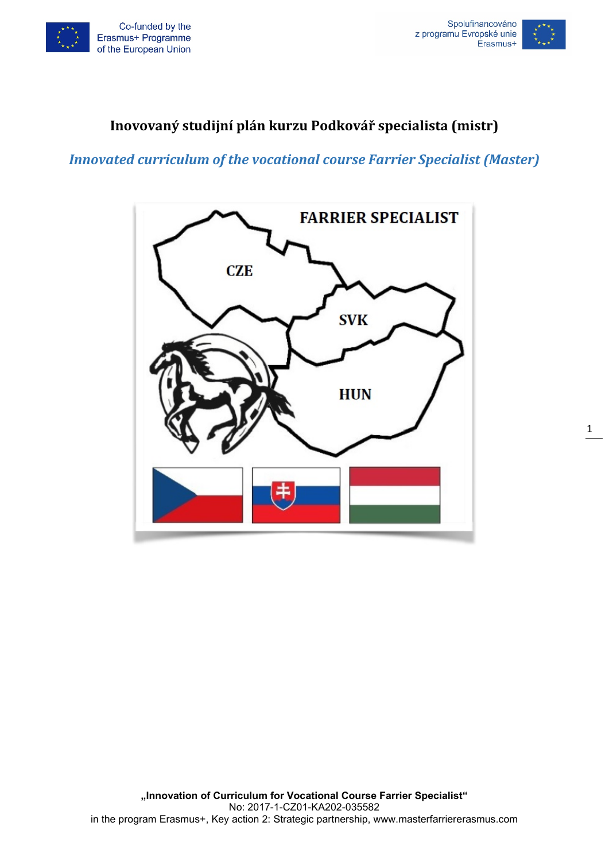



## **Inovovaný studijní plán kurzu Podkovář specialista (mistr)**

*Innovated curriculum of the vocational course Farrier Specialist (Master)*

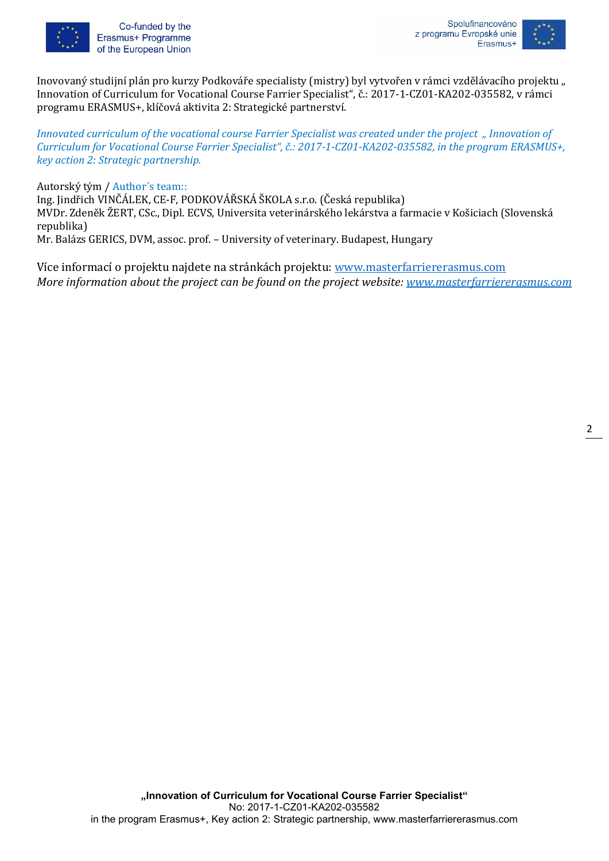

Co-funded by the Erasmus+ Programme of the European Union



Inovovaný studijní plán pro kurzy Podkováře specialisty (mistry) byl vytvořen v rámci vzdělávacího projektu " Innovation of Curriculum for Vocational Course Farrier Specialist", č.: 2017-1-CZ01-KA202-035582, v rámci programu ERASMUS+, klíčová aktivita 2: Strategické partnerství.

*Innovated curriculum of the vocational course Farrier Specialist was created under the project " Innovation of Curriculum for Vocational Course Farrier Specialist", č.: 2017-1-CZ01-KA202-035582, in the program ERASMUS+, key action 2: Strategic partnership.*

Autorský tým / Author´s team::

Ing. Jindřich VINČÁLEK, CE-F, PODKOVÁŘSKÁ ŠKOLA s.r.o. (Česká republika) MVDr. Zdeněk ŽERT, CSc., Dipl. ECVS, Universita veterinárského lekárstva a farmacie v Košiciach (Slovenská republika) Mr. Balázs GERICS, DVM, assoc. prof. – University of veterinary. Budapest, Hungary

Více informací o projektu najdete na stránkách projektu: [www.masterfarriererasmus.com](http://www.masterfarriererasmus.com/) *More information about the project can be found on the project website: [www.masterfarriererasmus.com](http://www.masterfarriererasmus.com/)*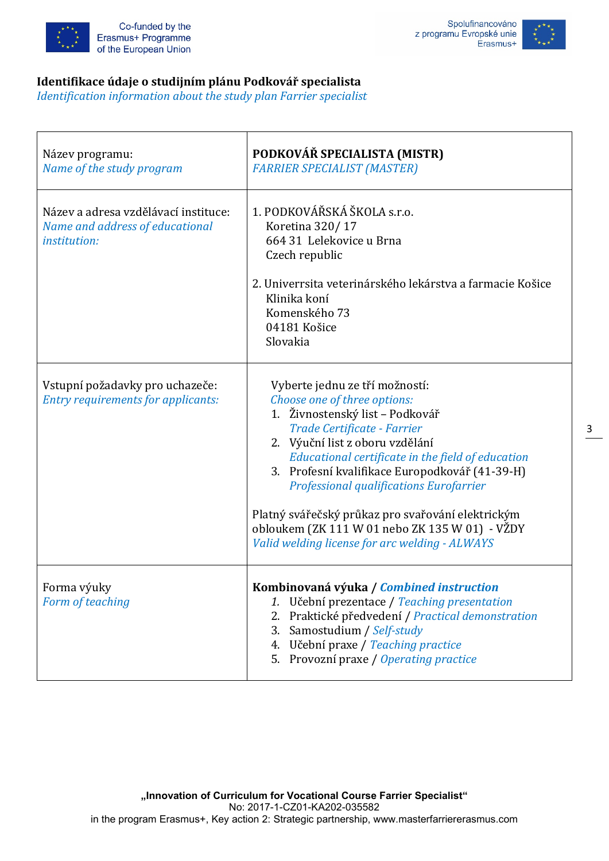



#### **Identifikace údaje o studijním plánu Podkovář specialista**

*Identification information about the study plan Farrier specialist*

| Název programu:<br>Name of the study program                                                   | PODKOVÁŘ SPECIALISTA (MISTR)<br><b>FARRIER SPECIALIST (MASTER)</b>                                                                                                                                                                                                                                                                                                                                                                                                                    |  |
|------------------------------------------------------------------------------------------------|---------------------------------------------------------------------------------------------------------------------------------------------------------------------------------------------------------------------------------------------------------------------------------------------------------------------------------------------------------------------------------------------------------------------------------------------------------------------------------------|--|
| Název a adresa vzdělávací instituce:<br>Name and address of educational<br><i>institution:</i> | 1. PODKOVÁŘSKÁ ŠKOLA s.r.o.<br>Koretina 320/17<br>664 31 Lelekovice u Brna<br>Czech republic<br>2. Univerrsita veterinárského lekárstva a farmacie Košice<br>Klinika koní<br>Komenského 73<br>04181 Košice<br>Slovakia                                                                                                                                                                                                                                                                |  |
| Vstupní požadavky pro uchazeče:<br><b>Entry requirements for applicants:</b>                   | Vyberte jednu ze tří možností:<br>Choose one of three options:<br>1. Živnostenský list – Podkovář<br>Trade Certificate - Farrier<br>2. Výuční list z oboru vzdělání<br>Educational certificate in the field of education<br>3. Profesní kvalifikace Europodkovář (41-39-H)<br><b>Professional qualifications Eurofarrier</b><br>Platný svářečský průkaz pro svařování elektrickým<br>obloukem (ZK 111 W 01 nebo ZK 135 W 01) - VŽDY<br>Valid welding license for arc welding - ALWAYS |  |
| Forma výuky<br>Form of teaching                                                                | Kombinovaná výuka / Combined instruction<br>Učební prezentace / Teaching presentation<br>Praktické předvedení / Practical demonstration<br>Samostudium / Self-study<br>3.<br>4. Učební praxe / Teaching practice<br>5. Provozní praxe / Operating practice                                                                                                                                                                                                                            |  |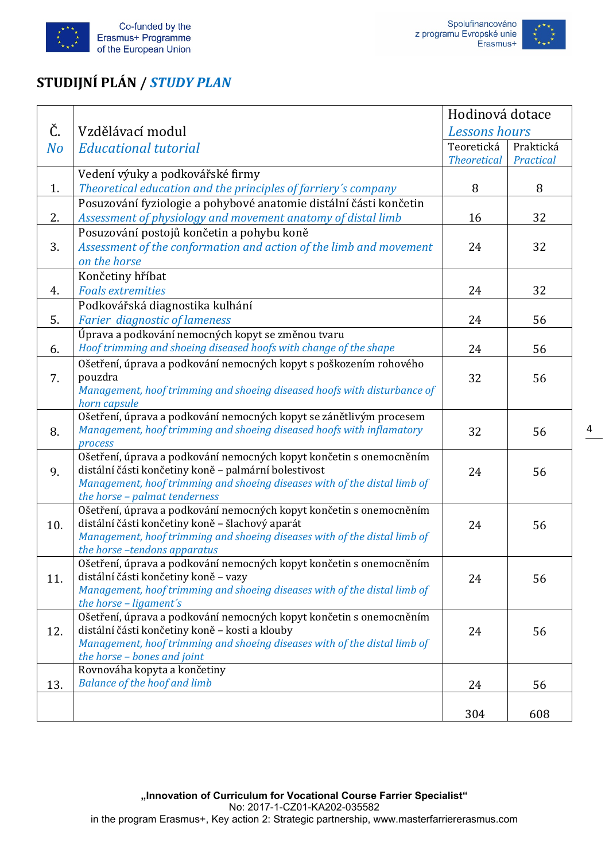



# **STUDIJNÍ PLÁN /** *STUDY PLAN*

|     |                                                                                                                       | Hodinová dotace    |           |
|-----|-----------------------------------------------------------------------------------------------------------------------|--------------------|-----------|
| Č.  | Vzdělávací modul                                                                                                      | Lessons hours      |           |
| No  | <b>Educational tutorial</b>                                                                                           | Teoretická         | Praktická |
|     |                                                                                                                       | <b>Theoretical</b> | Practical |
|     | Vedení výuky a podkovářské firmy                                                                                      |                    |           |
| 1.  | Theoretical education and the principles of farriery's company                                                        | 8                  | 8         |
|     | Posuzování fyziologie a pohybové anatomie distální části končetin                                                     |                    |           |
| 2.  | Assessment of physiology and movement anatomy of distal limb                                                          | 16                 | 32        |
|     | Posuzování postojů končetin a pohybu koně                                                                             |                    |           |
| 3.  | Assessment of the conformation and action of the limb and movement                                                    | 24                 | 32        |
|     | on the horse                                                                                                          |                    |           |
|     | Končetiny hříbat                                                                                                      |                    |           |
| 4.  | <b>Foals extremities</b>                                                                                              | 24                 | 32        |
|     | Podkovářská diagnostika kulhání                                                                                       |                    |           |
| 5.  | <b>Farier diagnostic of lameness</b>                                                                                  | 24                 | 56        |
|     | Úprava a podkování nemocných kopyt se změnou tvaru                                                                    |                    |           |
| 6.  | Hoof trimming and shoeing diseased hoofs with change of the shape                                                     | 24                 | 56        |
|     | Ošetření, úprava a podkování nemocných kopyt s poškozením rohového                                                    |                    |           |
| 7.  | pouzdra                                                                                                               | 32                 | 56        |
|     | Management, hoof trimming and shoeing diseased hoofs with disturbance of                                              |                    |           |
|     | horn capsule                                                                                                          |                    |           |
|     | Ošetření, úprava a podkování nemocných kopyt se zánětlivým procesem                                                   |                    |           |
| 8.  | Management, hoof trimming and shoeing diseased hoofs with inflamatory                                                 | 32                 | 56        |
|     | process<br>Ošetření, úprava a podkování nemocných kopyt končetin s onemocněním                                        |                    |           |
| 9.  | distální části končetiny koně - palmární bolestivost                                                                  | 24                 | 56        |
|     | Management, hoof trimming and shoeing diseases with of the distal limb of                                             |                    |           |
|     | the horse - palmat tenderness                                                                                         |                    |           |
|     | Ošetření, úprava a podkování nemocných kopyt končetin s onemocněním                                                   |                    |           |
| 10. | distální části končetiny koně - šlachový aparát                                                                       | 24                 | 56        |
|     | Management, hoof trimming and shoeing diseases with of the distal limb of                                             |                    |           |
|     | the horse-tendons apparatus                                                                                           |                    |           |
|     | Ošetření, úprava a podkování nemocných kopyt končetin s onemocněním                                                   |                    |           |
| 11. | distální části končetiny koně - vazy                                                                                  | 24                 | 56        |
|     | Management, hoof trimming and shoeing diseases with of the distal limb of                                             |                    |           |
|     | the horse - ligament's                                                                                                |                    |           |
|     | Ošetření, úprava a podkování nemocných kopyt končetin s onemocněním<br>distální části končetiny koně - kosti a klouby |                    |           |
| 12. | Management, hoof trimming and shoeing diseases with of the distal limb of                                             | 24                 | 56        |
|     | the horse - bones and joint                                                                                           |                    |           |
|     | Rovnováha kopyta a končetiny                                                                                          |                    |           |
| 13. | <b>Balance of the hoof and limb</b>                                                                                   | 24                 | 56        |
|     |                                                                                                                       |                    |           |
|     |                                                                                                                       | 304                | 608       |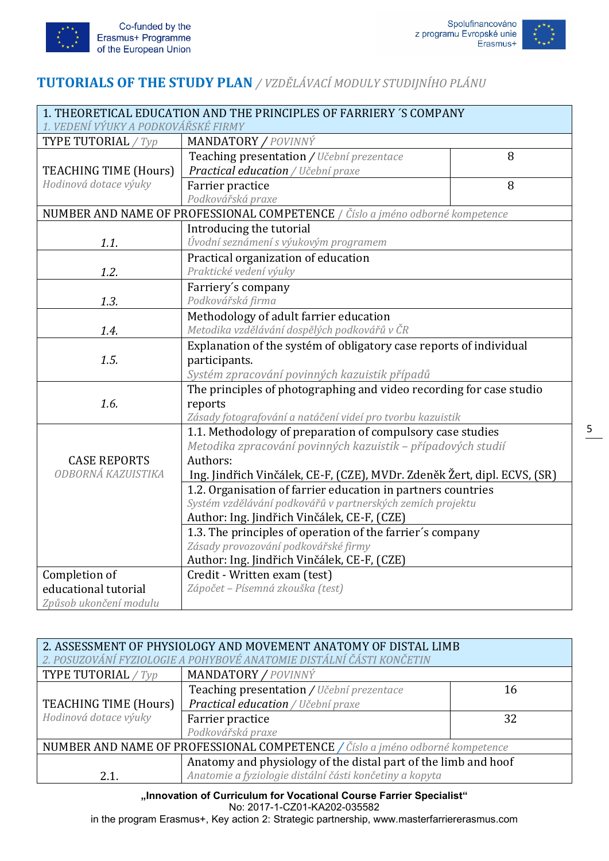



## **TUTORIALS OF THE STUDY PLAN** */ VZDĚLÁVACÍ MODULY STUDIJNÍHO PLÁNU*

| 1. THEORETICAL EDUCATION AND THE PRINCIPLES OF FARRIERY 'S COMPANY |                                                                               |  |  |  |
|--------------------------------------------------------------------|-------------------------------------------------------------------------------|--|--|--|
| 1. VEDENÍ VÝUKY A PODKOVÁŘSKÉ FIRMY                                |                                                                               |  |  |  |
| TYPE TUTORIAL / Typ                                                | <b>MANDATORY / POVINNÝ</b>                                                    |  |  |  |
|                                                                    | 8<br>Teaching presentation / Učební prezentace                                |  |  |  |
| <b>TEACHING TIME (Hours)</b>                                       | Practical education / Učební praxe                                            |  |  |  |
| Hodinová dotace výuky                                              | 8<br>Farrier practice                                                         |  |  |  |
|                                                                    | Podkovářská praxe                                                             |  |  |  |
|                                                                    | NUMBER AND NAME OF PROFESSIONAL COMPETENCE / Číslo a jméno odborné kompetence |  |  |  |
|                                                                    | Introducing the tutorial                                                      |  |  |  |
| 1.1.                                                               | Úvodní seznámení s výukovým programem                                         |  |  |  |
|                                                                    | Practical organization of education                                           |  |  |  |
| 1.2.                                                               | Praktické vedení výuky                                                        |  |  |  |
|                                                                    | Farriery's company                                                            |  |  |  |
| 1.3.                                                               | Podkovářská firma                                                             |  |  |  |
|                                                                    | Methodology of adult farrier education                                        |  |  |  |
| 1.4.                                                               | Metodika vzdělávání dospělých podkovářů v ČR                                  |  |  |  |
|                                                                    | Explanation of the systém of obligatory case reports of individual            |  |  |  |
| 1.5.                                                               | participants.                                                                 |  |  |  |
|                                                                    | Systém zpracování povinných kazuistik případů                                 |  |  |  |
|                                                                    | The principles of photographing and video recording for case studio           |  |  |  |
| 1.6.                                                               | reports                                                                       |  |  |  |
|                                                                    | Zásady fotografování a natáčení videí pro tvorbu kazuistik                    |  |  |  |
|                                                                    | 1.1. Methodology of preparation of compulsory case studies                    |  |  |  |
|                                                                    | Metodika zpracování povinných kazuistik - případových studií                  |  |  |  |
| <b>CASE REPORTS</b>                                                | Authors:                                                                      |  |  |  |
| ODBORNÁ KAZUISTIKA                                                 | Ing. Jindřich Vinčálek, CE-F, (CZE), MVDr. Zdeněk Žert, dipl. ECVS, (SR)      |  |  |  |
|                                                                    | 1.2. Organisation of farrier education in partners countries                  |  |  |  |
|                                                                    | Systém vzdělávání podkovářů v partnerských zemích projektu                    |  |  |  |
|                                                                    | Author: Ing. Jindřich Vinčálek, CE-F, (CZE)                                   |  |  |  |
|                                                                    | 1.3. The principles of operation of the farrier's company                     |  |  |  |
|                                                                    | Zásady provozování podkovářské firmy                                          |  |  |  |
|                                                                    | Author: Ing. Jindřich Vinčálek, CE-F, (CZE)                                   |  |  |  |
| Completion of                                                      | Credit - Written exam (test)                                                  |  |  |  |
| educational tutorial                                               | Zápočet - Písemná zkouška (test)                                              |  |  |  |
| Způsob ukončení modulu                                             |                                                                               |  |  |  |

| 2. ASSESSMENT OF PHYSIOLOGY AND MOVEMENT ANATOMY OF DISTAL LIMB               |                                                                |    |  |
|-------------------------------------------------------------------------------|----------------------------------------------------------------|----|--|
| 2. POSUZOVÁNÍ FYZIOLOGIE A POHYBOVÉ ANATOMIE DISTÁLNÍ ČÁSTI KONČETIN          |                                                                |    |  |
| <b>TYPE TUTORIAL</b> / $Type$                                                 | MANDATORY / POVINNÝ                                            |    |  |
|                                                                               | Teaching presentation / Učební prezentace                      | 16 |  |
| TEACHING TIME (Hours)                                                         | Practical education / Učební praxe<br>Farrier practice<br>32   |    |  |
| Hodinová dotace výuky                                                         |                                                                |    |  |
|                                                                               | Podkovářská praxe                                              |    |  |
| NUMBER AND NAME OF PROFESSIONAL COMPETENCE / Číslo a jméno odborné kompetence |                                                                |    |  |
|                                                                               | Anatomy and physiology of the distal part of the limb and hoof |    |  |
| 2.1.                                                                          | Anatomie a fyziologie distální části končetiny a kopyta        |    |  |

**"Innovation of Curriculum for Vocational Course Farrier Specialist"** No: 2017-1-CZ01-KA202-035582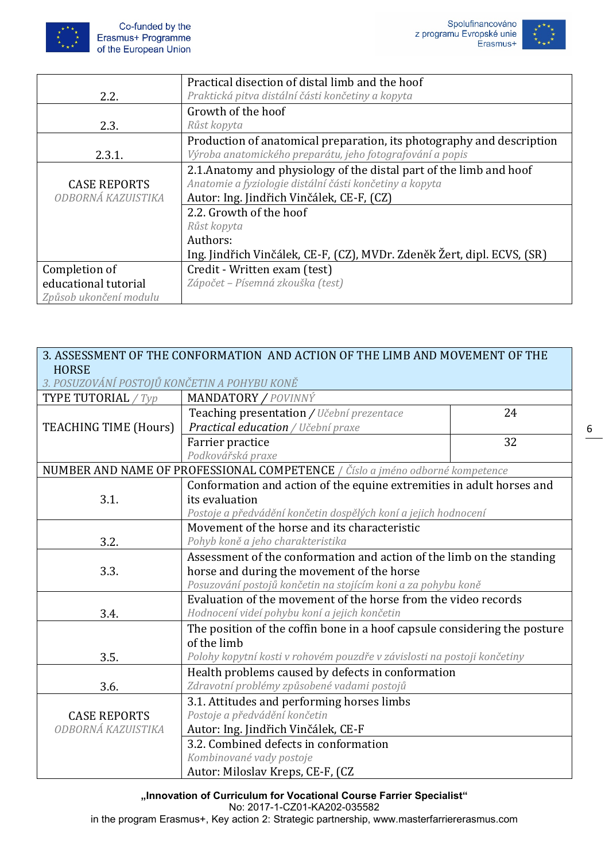





|                        | Practical disection of distal limb and the hoof                         |  |
|------------------------|-------------------------------------------------------------------------|--|
| 2.2.                   | Praktická pitva distální části končetiny a kopyta                       |  |
|                        | Growth of the hoof                                                      |  |
| 2.3.                   | Růst kopyta                                                             |  |
|                        | Production of anatomical preparation, its photography and description   |  |
| 2.3.1.                 | Výroba anatomického preparátu, jeho fotografování a popis               |  |
|                        | 2.1. Anatomy and physiology of the distal part of the limb and hoof     |  |
| <b>CASE REPORTS</b>    | Anatomie a fyziologie distální části končetiny a kopyta                 |  |
| ODBORNÁ KAZUISTIKA     | Autor: Ing. Jindřich Vinčálek, CE-F, (CZ)                               |  |
|                        | 2.2. Growth of the hoof                                                 |  |
|                        | Růst kopyta                                                             |  |
|                        | Authors:                                                                |  |
|                        | Ing. Jindřich Vinčálek, CE-F, (CZ), MVDr. Zdeněk Žert, dipl. ECVS, (SR) |  |
| Completion of          | Credit - Written exam (test)                                            |  |
| educational tutorial   | Zápočet – Písemná zkouška (test)                                        |  |
| Způsob ukončení modulu |                                                                         |  |

| 3. ASSESSMENT OF THE CONFORMATION AND ACTION OF THE LIMB AND MOVEMENT OF THE<br><b>HORSE</b><br>3. POSUZOVÁNÍ POSTOJŮ KONČETIN A POHYBU KONĚ |                                                                               |  |  |
|----------------------------------------------------------------------------------------------------------------------------------------------|-------------------------------------------------------------------------------|--|--|
| <b>TYPE TUTORIAL</b> / Typ                                                                                                                   | MANDATORY / POVINNÝ                                                           |  |  |
|                                                                                                                                              | 24<br>Teaching presentation / Učební prezentace                               |  |  |
| <b>TEACHING TIME (Hours)</b>                                                                                                                 | Practical education / Učební praxe                                            |  |  |
|                                                                                                                                              | 32<br>Farrier practice                                                        |  |  |
|                                                                                                                                              | Podkovářská praxe                                                             |  |  |
|                                                                                                                                              | NUMBER AND NAME OF PROFESSIONAL COMPETENCE / Číslo a jméno odborné kompetence |  |  |
|                                                                                                                                              | Conformation and action of the equine extremities in adult horses and         |  |  |
| 3.1.                                                                                                                                         | its evaluation                                                                |  |  |
|                                                                                                                                              | Postoje a předvádění končetin dospělých koní a jejich hodnocení               |  |  |
|                                                                                                                                              | Movement of the horse and its characteristic                                  |  |  |
| 3.2.                                                                                                                                         | Pohyb koně a jeho charakteristika                                             |  |  |
|                                                                                                                                              | Assessment of the conformation and action of the limb on the standing         |  |  |
| 3.3.                                                                                                                                         | horse and during the movement of the horse                                    |  |  |
|                                                                                                                                              | Posuzování postojů končetin na stojícím koni a za pohybu koně                 |  |  |
|                                                                                                                                              | Evaluation of the movement of the horse from the video records                |  |  |
| 3.4.                                                                                                                                         | Hodnocení videí pohybu koní a jejich končetin                                 |  |  |
|                                                                                                                                              | The position of the coffin bone in a hoof capsule considering the posture     |  |  |
|                                                                                                                                              | of the limb                                                                   |  |  |
| 3.5.                                                                                                                                         | Polohy kopytní kosti v rohovém pouzdře v závislosti na postoji končetiny      |  |  |
|                                                                                                                                              | Health problems caused by defects in conformation                             |  |  |
| 3.6.                                                                                                                                         | Zdravotní problémy způsobené vadami postojů                                   |  |  |
|                                                                                                                                              | 3.1. Attitudes and performing horses limbs                                    |  |  |
| <b>CASE REPORTS</b>                                                                                                                          | Postoje a předvádění končetin                                                 |  |  |
| ODBORNÁ KAZUISTIKA                                                                                                                           | Autor: Ing. Jindřich Vinčálek, CE-F                                           |  |  |
|                                                                                                                                              | 3.2. Combined defects in conformation                                         |  |  |
|                                                                                                                                              | Kombinované vady postoje                                                      |  |  |
|                                                                                                                                              | Autor: Miloslav Kreps, CE-F, (CZ                                              |  |  |

**"Innovation of Curriculum for Vocational Course Farrier Specialist"**

No: 2017-1-CZ01-KA202-035582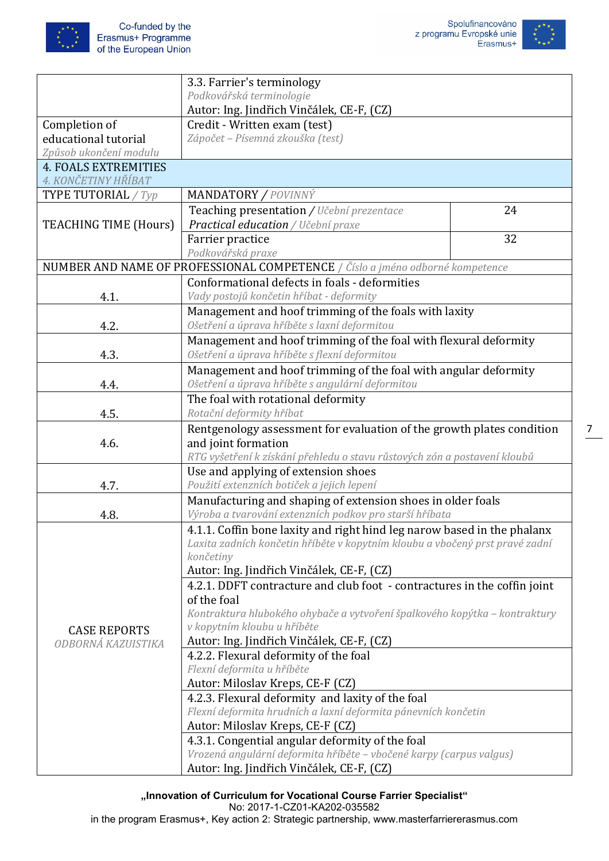



|                                                    | 3.3. Farrier's terminology                                                                                       |    |  |
|----------------------------------------------------|------------------------------------------------------------------------------------------------------------------|----|--|
|                                                    | Podkovářská terminologie                                                                                         |    |  |
|                                                    | Autor: Ing. Jindřich Vinčálek, CE-F, (CZ)                                                                        |    |  |
| Completion of                                      | Credit - Written exam (test)                                                                                     |    |  |
| educational tutorial                               | Zápočet - Písemná zkouška (test)                                                                                 |    |  |
| Způsob ukončení modulu                             |                                                                                                                  |    |  |
| <b>4. FOALS EXTREMITIES</b><br>4. KONČETINY HŘÍBAT |                                                                                                                  |    |  |
| <b>TYPE TUTORIAL</b> / Typ                         | <b>MANDATORY / POVINNÝ</b>                                                                                       |    |  |
| <b>TEACHING TIME (Hours)</b>                       | Teaching presentation / Učební prezentace<br>24<br>Practical education / Učební praxe                            |    |  |
|                                                    | Farrier practice                                                                                                 | 32 |  |
|                                                    | Podkovářská praxe                                                                                                |    |  |
|                                                    | NUMBER AND NAME OF PROFESSIONAL COMPETENCE / Číslo a jméno odborné kompetence                                    |    |  |
|                                                    | Conformational defects in foals - deformities                                                                    |    |  |
| 4.1.                                               | Vady postojů končetin hříbat - deformity                                                                         |    |  |
|                                                    | Management and hoof trimming of the foals with laxity                                                            |    |  |
| 4.2.                                               | Ošetření a úprava hříběte s laxní deformitou                                                                     |    |  |
|                                                    | Management and hoof trimming of the foal with flexural deformity                                                 |    |  |
| 4.3.                                               | Ošetření a úprava hříběte s flexní deformitou                                                                    |    |  |
|                                                    | Management and hoof trimming of the foal with angular deformity                                                  |    |  |
| 4.4.                                               | Ošetření a úprava hříběte s angulární deformitou                                                                 |    |  |
|                                                    | The foal with rotational deformity                                                                               |    |  |
| 4.5.                                               | Rotační deformity hříbat                                                                                         |    |  |
|                                                    |                                                                                                                  |    |  |
|                                                    | Rentgenology assessment for evaluation of the growth plates condition                                            |    |  |
| 4.6.<br>and joint formation                        |                                                                                                                  |    |  |
|                                                    | RTG vyšetření k získání přehledu o stavu růstových zón a postavení kloubů<br>Use and applying of extension shoes |    |  |
| 4.7.                                               | Použití extenzních botiček a jejich lepení                                                                       |    |  |
|                                                    | Manufacturing and shaping of extension shoes in older foals                                                      |    |  |
| 4.8.                                               | Výroba a tvarování extenzních podkov pro starší hříbata                                                          |    |  |
|                                                    | 4.1.1. Coffin bone laxity and right hind leg narow based in the phalanx                                          |    |  |
|                                                    | Laxita zadních končetin hříběte v kopytním kloubu a vbočený prst pravé zadní                                     |    |  |
|                                                    | končetiny                                                                                                        |    |  |
|                                                    | Autor: Ing. Jindřich Vinčálek, CE-F, (CZ)                                                                        |    |  |
|                                                    | 4.2.1. DDFT contracture and club foot - contractures in the coffin joint                                         |    |  |
|                                                    | of the foal                                                                                                      |    |  |
|                                                    | Kontraktura hlubokého ohybače a vytvoření špalkového kopýtka – kontraktury                                       |    |  |
|                                                    | v kopytním kloubu u hříběte<br><b>CASE REPORTS</b>                                                               |    |  |
| ODBORNÁ KAZUISTIKA                                 | Autor: Ing. Jindřich Vinčálek, CE-F, (CZ)                                                                        |    |  |
|                                                    | 4.2.2. Flexural deformity of the foal                                                                            |    |  |
|                                                    | Flexní deformita u hříběte                                                                                       |    |  |
|                                                    | Autor: Miloslav Kreps, CE-F (CZ)                                                                                 |    |  |
|                                                    | 4.2.3. Flexural deformity and laxity of the foal                                                                 |    |  |
|                                                    | Flexní deformita hrudních a laxní deformita pánevních končetin                                                   |    |  |
|                                                    | Autor: Miloslav Kreps, CE-F (CZ)                                                                                 |    |  |
|                                                    | 4.3.1. Congential angular deformity of the foal                                                                  |    |  |
|                                                    | Vrozená angulární deformita hříběte - vbočené karpy (carpus valgus)                                              |    |  |
| Autor: Ing. Jindřich Vinčálek, CE-F, (CZ)          |                                                                                                                  |    |  |

**"Innovation of Curriculum for Vocational Course Farrier Specialist"**

No: 2017-1-CZ01-KA202-035582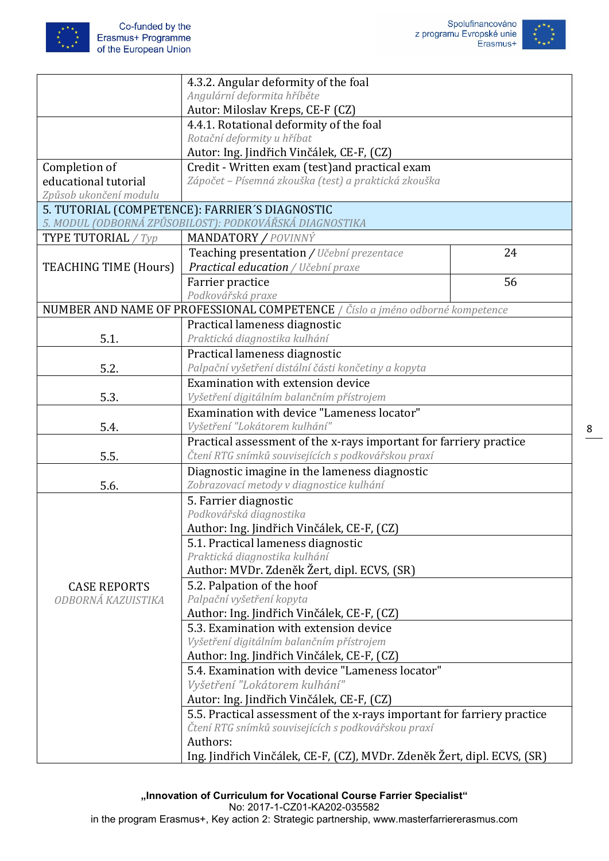



|                                            | 4.3.2. Angular deformity of the foal                                          |    |  |
|--------------------------------------------|-------------------------------------------------------------------------------|----|--|
|                                            | Angulární deformita hříběte                                                   |    |  |
|                                            | Autor: Miloslav Kreps, CE-F (CZ)                                              |    |  |
|                                            | 4.4.1. Rotational deformity of the foal                                       |    |  |
|                                            | Rotační deformity u hříbat                                                    |    |  |
|                                            | Autor: Ing. Jindřich Vinčálek, CE-F, (CZ)                                     |    |  |
| Completion of                              | Credit - Written exam (test) and practical exam                               |    |  |
| educational tutorial                       | Zápočet – Písemná zkouška (test) a praktická zkouška                          |    |  |
| Způsob ukončení modulu                     |                                                                               |    |  |
|                                            | 5. TUTORIAL (COMPETENCE): FARRIER'S DIAGNOSTIC                                |    |  |
|                                            | 5. MODUL (ODBORNÁ ZPŮSOBILOST): PODKOVÁŘSKÁ DIAGNOSTIKA                       |    |  |
| TYPE TUTORIAL / $Type$                     | <b>MANDATORY / POVINNÝ</b>                                                    |    |  |
|                                            | Teaching presentation / Učební prezentace                                     | 24 |  |
| <b>TEACHING TIME (Hours)</b>               | Practical education / Učební praxe                                            |    |  |
|                                            | Farrier practice                                                              | 56 |  |
|                                            | Podkovářská praxe                                                             |    |  |
|                                            | NUMBER AND NAME OF PROFESSIONAL COMPETENCE / Číslo a jméno odborné kompetence |    |  |
|                                            | Practical lameness diagnostic                                                 |    |  |
| 5.1.                                       | Praktická diagnostika kulhání                                                 |    |  |
|                                            | Practical lameness diagnostic                                                 |    |  |
| 5.2.                                       | Palpační vyšetření distální části končetiny a kopyta                          |    |  |
|                                            | Examination with extension device                                             |    |  |
| 5.3.                                       | Vyšetření digitálním balančním přístrojem                                     |    |  |
|                                            | Examination with device "Lameness locator"                                    |    |  |
| 5.4.                                       | Vyšetření "Lokátorem kulhání"                                                 |    |  |
|                                            | Practical assessment of the x-rays important for farriery practice            |    |  |
| 5.5.                                       | Čtení RTG snímků souvisejících s podkovářskou praxí                           |    |  |
|                                            | Diagnostic imagine in the lameness diagnostic                                 |    |  |
| 5.6.                                       | Zobrazovací metody v diagnostice kulhání                                      |    |  |
|                                            | 5. Farrier diagnostic                                                         |    |  |
|                                            | Podkovářská diagnostika                                                       |    |  |
|                                            | Author: Ing. Jindřich Vinčálek, CE-F, (CZ)                                    |    |  |
|                                            | 5.1. Practical lameness diagnostic                                            |    |  |
|                                            | Praktická diagnostika kulhání                                                 |    |  |
|                                            | Author: MVDr. Zdeněk Žert, dipl. ECVS, (SR)                                   |    |  |
| <b>CASE REPORTS</b>                        | 5.2. Palpation of the hoof                                                    |    |  |
| ODBORNÁ KAZUISTIKA                         | Palpační vyšetření kopyta                                                     |    |  |
|                                            | Author: Ing. Jindřich Vinčálek, CE-F, (CZ)                                    |    |  |
|                                            | 5.3. Examination with extension device                                        |    |  |
|                                            | Vyšetření digitálním balančním přístrojem                                     |    |  |
| Author: Ing. Jindřich Vinčálek, CE-F, (CZ) |                                                                               |    |  |
|                                            | 5.4. Examination with device "Lameness locator"                               |    |  |
|                                            | Vyšetření "Lokátorem kulhání"                                                 |    |  |
|                                            | Autor: Ing. Jindřich Vinčálek, CE-F, (CZ)                                     |    |  |
|                                            | 5.5. Practical assessment of the x-rays important for farriery practice       |    |  |
|                                            | Čtení RTG snímků souvisejících s podkovářskou praxí                           |    |  |
|                                            | Authors:                                                                      |    |  |
|                                            | Ing. Jindřich Vinčálek, CE-F, (CZ), MVDr. Zdeněk Žert, dipl. ECVS, (SR)       |    |  |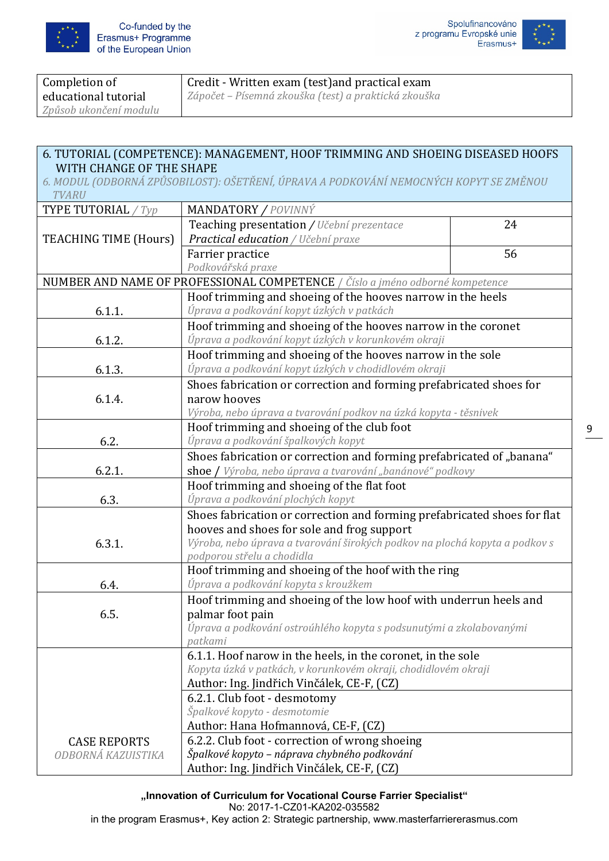





| Completion of          | Credit - Written exam (test) and practical exam      |
|------------------------|------------------------------------------------------|
| educational tutorial   | Zápočet – Písemná zkouška (test) a praktická zkouška |
| Způsob ukončení modulu |                                                      |

## 6. TUTORIAL (COMPETENCE): MANAGEMENT, HOOF TRIMMING AND SHOEING DISEASED HOOFS WITH CHANGE OF THE SHAPE

*6. MODUL (ODBORNÁ ZPŮSOBILOST): OŠETŘENÍ, ÚPRAVA A PODKOVÁNÍ NEMOCNÝCH KOPYT SE ZMĚNOU TVARU*

| TYPE TUTORIAL / $Type$       | MANDATORY / POVINNÝ                                                           |    |  |
|------------------------------|-------------------------------------------------------------------------------|----|--|
|                              | Teaching presentation / Učební prezentace                                     | 24 |  |
| <b>TEACHING TIME (Hours)</b> | Practical education / Učební praxe                                            |    |  |
|                              | 56<br>Farrier practice                                                        |    |  |
|                              | Podkovářská praxe                                                             |    |  |
|                              | NUMBER AND NAME OF PROFESSIONAL COMPETENCE / Číslo a jméno odborné kompetence |    |  |
|                              | Hoof trimming and shoeing of the hooves narrow in the heels                   |    |  |
| 6.1.1.                       | Úprava a podkování kopyt úzkých v patkách                                     |    |  |
|                              | Hoof trimming and shoeing of the hooves narrow in the coronet                 |    |  |
| 6.1.2.                       | Úprava a podkování kopyt úzkých v korunkovém okraji                           |    |  |
|                              | Hoof trimming and shoeing of the hooves narrow in the sole                    |    |  |
| 6.1.3.                       | Úprava a podkování kopyt úzkých v chodidlovém okraji                          |    |  |
|                              | Shoes fabrication or correction and forming prefabricated shoes for           |    |  |
| 6.1.4.                       | narow hooves                                                                  |    |  |
|                              | Výroba, nebo úprava a tvarování podkov na úzká kopyta - těsnivek              |    |  |
|                              | Hoof trimming and shoeing of the club foot                                    |    |  |
| 6.2.                         | Úprava a podkování špalkových kopyt                                           |    |  |
|                              | Shoes fabrication or correction and forming prefabricated of "banana"         |    |  |
| 6.2.1.                       | shoe / Výroba, nebo úprava a tvarování "banánové" podkovy                     |    |  |
|                              | Hoof trimming and shoeing of the flat foot                                    |    |  |
| 6.3.                         | Úprava a podkování plochých kopyt                                             |    |  |
|                              | Shoes fabrication or correction and forming prefabricated shoes for flat      |    |  |
|                              | hooves and shoes for sole and frog support                                    |    |  |
| 6.3.1.                       | Výroba, nebo úprava a tvarování širokých podkov na plochá kopyta a podkov s   |    |  |
|                              | podporou střelu a chodidla                                                    |    |  |
|                              | Hoof trimming and shoeing of the hoof with the ring                           |    |  |
| 6.4.                         | Úprava a podkování kopyta s kroužkem                                          |    |  |
|                              | Hoof trimming and shoeing of the low hoof with underrun heels and             |    |  |
| 6.5.                         | palmar foot pain                                                              |    |  |
|                              | Úprava a podkování ostroúhlého kopyta s podsunutými a zkolabovanými           |    |  |
|                              | patkami                                                                       |    |  |
|                              | 6.1.1. Hoof narow in the heels, in the coronet, in the sole                   |    |  |
|                              | Kopyta úzká v patkách, v korunkovém okraji, chodidlovém okraji                |    |  |
|                              | Author: Ing. Jindřich Vinčálek, CE-F, (CZ)                                    |    |  |
|                              | 6.2.1. Club foot - desmotomy                                                  |    |  |
|                              | Špalkové kopyto - desmotomie                                                  |    |  |
|                              | Author: Hana Hofmannová, CE-F, (CZ)                                           |    |  |
| <b>CASE REPORTS</b>          | 6.2.2. Club foot - correction of wrong shoeing                                |    |  |
| ODBORNÁ KAZUISTIKA           | Špalkové kopyto - náprava chybného podkování                                  |    |  |
|                              | Author: Ing. Jindřich Vinčálek, CE-F, (CZ)                                    |    |  |

**"Innovation of Curriculum for Vocational Course Farrier Specialist"**

No: 2017-1-CZ01-KA202-035582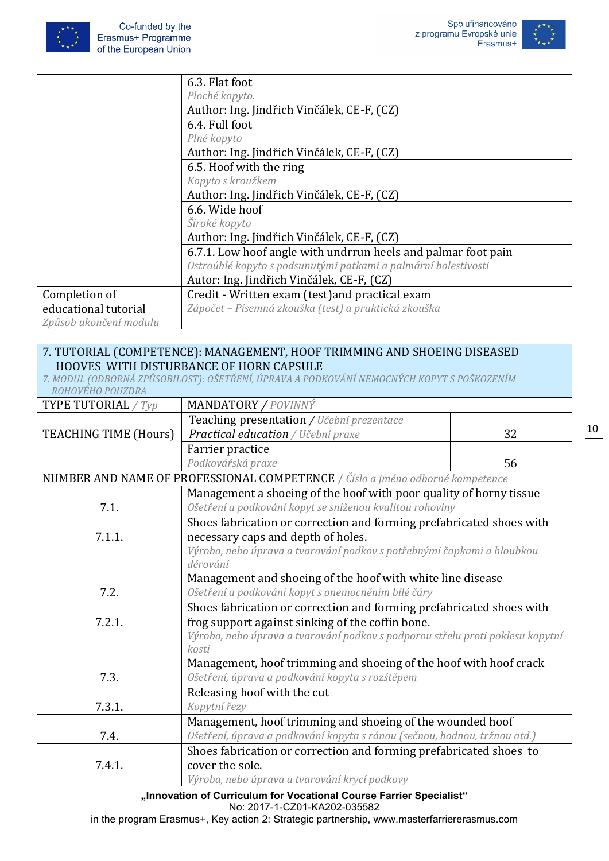





|                        | 6.3. Flat foot                                                 |  |  |
|------------------------|----------------------------------------------------------------|--|--|
|                        | Ploché kopyto.                                                 |  |  |
|                        | Author: Ing. Jindřich Vinčálek, CE-F, (CZ)                     |  |  |
|                        | 6.4. Full foot                                                 |  |  |
|                        | Plné kopyto                                                    |  |  |
|                        | Author: Ing. Jindřich Vinčálek, CE-F, (CZ)                     |  |  |
|                        | 6.5. Hoof with the ring                                        |  |  |
|                        | Kopyto s kroužkem                                              |  |  |
|                        | Author: Ing. Jindřich Vinčálek, CE-F, (CZ)                     |  |  |
|                        | 6.6. Wide hoof                                                 |  |  |
|                        | Široké kopyto                                                  |  |  |
|                        | Author: Ing. Jindřich Vinčálek, CE-F, (CZ)                     |  |  |
|                        | 6.7.1. Low hoof angle with undrrun heels and palmar foot pain  |  |  |
|                        | Ostroúhlé kopyto s podsunutými patkami a palmární bolestivosti |  |  |
|                        | Autor: Ing. Jindřich Vinčálek, CE-F, (CZ)                      |  |  |
| Completion of          | Credit - Written exam (test) and practical exam                |  |  |
| educational tutorial   | Zápočet – Písemná zkouška (test) a praktická zkouška           |  |  |
| Způsob ukončení modulu |                                                                |  |  |

### 7. TUTORIAL (COMPETENCE): MANAGEMENT, HOOF TRIMMING AND SHOEING DISEASED HOOVES WITH DISTURBANCE OF HORN CAPSULE

| 7. MODUL (ODBORNÁ ZPŮSOBILOST): OŠETŘENÍ, ÚPRAVA A PODKOVÁNÍ NEMOCNÝCH KOPYT S POŠKOZENÍM |  |  |
|-------------------------------------------------------------------------------------------|--|--|
| ROHOVEHO POUZDRA                                                                          |  |  |
|                                                                                           |  |  |

| TYPE TUTORIAL / Typ          | <b>MANDATORY / POVINNÝ</b>                                                              |    |  |
|------------------------------|-----------------------------------------------------------------------------------------|----|--|
|                              | Teaching presentation / Učební prezentace                                               |    |  |
| <b>TEACHING TIME (Hours)</b> | Practical education / Učební praxe                                                      | 32 |  |
|                              | Farrier practice                                                                        |    |  |
|                              | Podkovářská praxe                                                                       | 56 |  |
|                              | NUMBER AND NAME OF PROFESSIONAL COMPETENCE / Číslo a jméno odborné kompetence           |    |  |
|                              | Management a shoeing of the hoof with poor quality of horny tissue                      |    |  |
| 7.1.                         | Ošetření a podkování kopyt se sníženou kvalitou rohoviny                                |    |  |
|                              | Shoes fabrication or correction and forming prefabricated shoes with                    |    |  |
| 7.1.1.                       | necessary caps and depth of holes.                                                      |    |  |
|                              | Výroba, nebo úprava a tvarování podkov s potřebnými čapkami a hloubkou                  |    |  |
|                              | děrování                                                                                |    |  |
|                              | Management and shoeing of the hoof with white line disease                              |    |  |
| 7.2.                         | Ošetření a podkování kopyt s onemocněním bílé čáry                                      |    |  |
|                              | Shoes fabrication or correction and forming prefabricated shoes with                    |    |  |
| 7.2.1.                       | frog support against sinking of the coffin bone.                                        |    |  |
|                              | Výroba, nebo úprava a tvarování podkov s podporou střelu proti poklesu kopytní<br>kosti |    |  |
|                              | Management, hoof trimming and shoeing of the hoof with hoof crack                       |    |  |
| 7.3.                         | Ošetření, úprava a podkování kopyta s rozštěpem                                         |    |  |
|                              | Releasing hoof with the cut                                                             |    |  |
| 7.3.1.                       | Kopytní řezy                                                                            |    |  |
|                              | Management, hoof trimming and shoeing of the wounded hoof                               |    |  |
| 7.4.                         | Ošetření, úprava a podkování kopyta s ránou (sečnou, bodnou, tržnou atd.)               |    |  |
|                              | Shoes fabrication or correction and forming prefabricated shoes to                      |    |  |
| 7.4.1.                       | cover the sole.                                                                         |    |  |
|                              | Výroba, nebo úprava a tvarování krycí podkovy                                           |    |  |

**"Innovation of Curriculum for Vocational Course Farrier Specialist"** No: 2017-1-CZ01-KA202-035582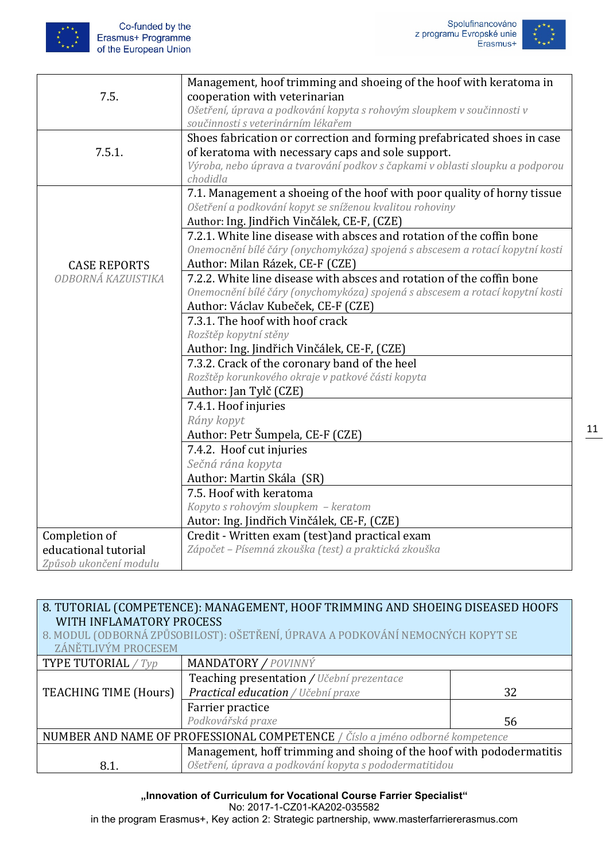



|                        | Management, hoof trimming and shoeing of the hoof with keratoma in            |
|------------------------|-------------------------------------------------------------------------------|
| 7.5.                   | cooperation with veterinarian                                                 |
|                        | Ošetření, úprava a podkování kopyta s rohovým sloupkem v součinnosti v        |
|                        | součinnosti s veterinárním lékařem                                            |
|                        | Shoes fabrication or correction and forming prefabricated shoes in case       |
| 7.5.1.                 | of keratoma with necessary caps and sole support.                             |
|                        | Výroba, nebo úprava a tvarování podkov s čapkami v oblasti sloupku a podporou |
|                        | chodidla                                                                      |
|                        | 7.1. Management a shoeing of the hoof with poor quality of horny tissue       |
|                        | Ošetření a podkování kopyt se sníženou kvalitou rohoviny                      |
|                        | Author: Ing. Jindřich Vinčálek, CE-F, (CZE)                                   |
|                        | 7.2.1. White line disease with absces and rotation of the coffin bone         |
|                        | Onemocnění bílé čáry (onychomykóza) spojená s abscesem a rotací kopytní kosti |
| <b>CASE REPORTS</b>    | Author: Milan Rázek, CE-F (CZE)                                               |
| ODBORNÁ KAZUISTIKA     | 7.2.2. White line disease with absces and rotation of the coffin bone         |
|                        | Onemocnění bílé čáry (onychomykóza) spojená s abscesem a rotací kopytní kosti |
|                        | Author: Václav Kubeček, CE-F (CZE)                                            |
|                        | 7.3.1. The hoof with hoof crack                                               |
|                        | Rozštěp kopytní stěny                                                         |
|                        | Author: Ing. Jindřich Vinčálek, CE-F, (CZE)                                   |
|                        | 7.3.2. Crack of the coronary band of the heel                                 |
|                        | Rozštěp korunkového okraje v patkové části kopyta                             |
|                        | Author: Jan Tylč (CZE)                                                        |
|                        | 7.4.1. Hoof injuries                                                          |
|                        | Rány kopyt                                                                    |
|                        | Author: Petr Šumpela, CE-F (CZE)                                              |
|                        | 7.4.2. Hoof cut injuries                                                      |
|                        | Sečná rána kopyta                                                             |
|                        | Author: Martin Skála (SR)                                                     |
|                        | 7.5. Hoof with keratoma                                                       |
|                        | Kopyto s rohovým sloupkem - keratom                                           |
|                        | Autor: Ing. Jindřich Vinčálek, CE-F, (CZE)                                    |
| Completion of          | Credit - Written exam (test) and practical exam                               |
| educational tutorial   | Zápočet - Písemná zkouška (test) a praktická zkouška                          |
| Způsob ukončení modulu |                                                                               |

## 8. TUTORIAL (COMPETENCE): MANAGEMENT, HOOF TRIMMING AND SHOEING DISEASED HOOFS WITH INFLAMATORY PROCESS

8. MODUL (ODBORNÁ ZPŮSOBILOST): OŠETŘENÍ, ÚPRAVA A PODKOVÁNÍ NEMOCNÝCH KOPYT SE ZÁNĚTLIVÝM PROCESEM

| <b>TYPE TUTORIAL</b> / $Type$                                                 | MANDATORY / POVINNÝ                                                  |    |
|-------------------------------------------------------------------------------|----------------------------------------------------------------------|----|
|                                                                               | Teaching presentation / Učební prezentace                            |    |
| TEACHING TIME (Hours)                                                         | Practical education / Učební praxe                                   | 32 |
|                                                                               | Farrier practice                                                     |    |
|                                                                               | Podkovářská praxe                                                    | 56 |
| NUMBER AND NAME OF PROFESSIONAL COMPETENCE / Číslo a jméno odborné kompetence |                                                                      |    |
|                                                                               | Management, hoff trimming and shoing of the hoof with pododermatitis |    |
| 8.1.                                                                          | Ošetření, úprava a podkování kopyta s pododermatitidou               |    |

**"Innovation of Curriculum for Vocational Course Farrier Specialist"**

No: 2017-1-CZ01-KA202-035582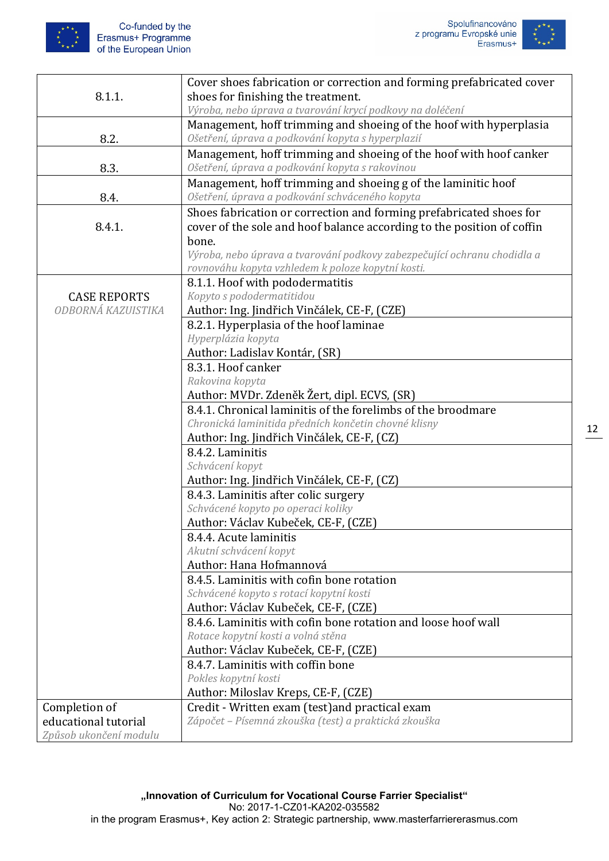

|                        | Cover shoes fabrication or correction and forming prefabricated cover    |
|------------------------|--------------------------------------------------------------------------|
| 8.1.1.                 | shoes for finishing the treatment.                                       |
|                        | Výroba, nebo úprava a tvarování krycí podkovy na doléčení                |
|                        | Management, hoff trimming and shoeing of the hoof with hyperplasia       |
|                        |                                                                          |
| 8.2.                   | Ošetření, úprava a podkování kopyta s hyperplazií                        |
|                        | Management, hoff trimming and shoeing of the hoof with hoof canker       |
| 8.3.                   | Ošetření, úprava a podkování kopyta s rakovinou                          |
|                        | Management, hoff trimming and shoeing g of the laminitic hoof            |
| 8.4.                   | Ošetření, úprava a podkování schváceného kopyta                          |
|                        | Shoes fabrication or correction and forming prefabricated shoes for      |
| 8.4.1.                 | cover of the sole and hoof balance according to the position of coffin   |
|                        | bone.                                                                    |
|                        | Výroba, nebo úprava a tvarování podkovy zabezpečující ochranu chodidla a |
|                        | rovnováhu kopyta vzhledem k poloze kopytní kosti.                        |
|                        | 8.1.1. Hoof with pododermatitis                                          |
| <b>CASE REPORTS</b>    | Kopyto s pododermatitidou                                                |
| ODBORNÁ KAZUISTIKA     | Author: Ing. Jindřich Vinčálek, CE-F, (CZE)                              |
|                        | 8.2.1. Hyperplasia of the hoof laminae                                   |
|                        | Hyperplázia kopyta                                                       |
|                        | Author: Ladislav Kontár, (SR)                                            |
|                        | 8.3.1. Hoof canker                                                       |
|                        | Rakovina kopyta                                                          |
|                        | Author: MVDr. Zdeněk Žert, dipl. ECVS, (SR)                              |
|                        | 8.4.1. Chronical laminitis of the forelimbs of the broodmare             |
|                        | Chronická laminitida předních končetin chovné klisny                     |
|                        | Author: Ing. Jindřich Vinčálek, CE-F, (CZ)                               |
|                        | 8.4.2. Laminitis                                                         |
|                        | Schvácení kopyt                                                          |
|                        | Author: Ing. Jindřich Vinčálek, CE-F, (CZ)                               |
|                        | 8.4.3. Laminitis after colic surgery                                     |
|                        | Schvácené kopyto po operaci koliky                                       |
|                        | Author: Václav Kubeček, CE-F, (CZE)                                      |
|                        | 8.4.4. Acute laminitis                                                   |
|                        | Akutní schvácení kopyt                                                   |
|                        | Author: Hana Hofmannová                                                  |
|                        | 8.4.5. Laminitis with cofin bone rotation                                |
|                        | Schvácené kopyto s rotací kopytní kosti                                  |
|                        | Author: Václav Kubeček, CE-F, (CZE)                                      |
|                        | 8.4.6. Laminitis with cofin bone rotation and loose hoof wall            |
|                        | Rotace kopytní kosti a volná stěna                                       |
|                        |                                                                          |
|                        | Author: Václav Kubeček, CE-F, (CZE)                                      |
|                        | 8.4.7. Laminitis with coffin bone                                        |
|                        | Pokles kopytní kosti                                                     |
|                        | Author: Miloslav Kreps, CE-F, (CZE)                                      |
| Completion of          | Credit - Written exam (test) and practical exam                          |
| educational tutorial   | Zápočet - Písemná zkouška (test) a praktická zkouška                     |
| Způsob ukončení modulu |                                                                          |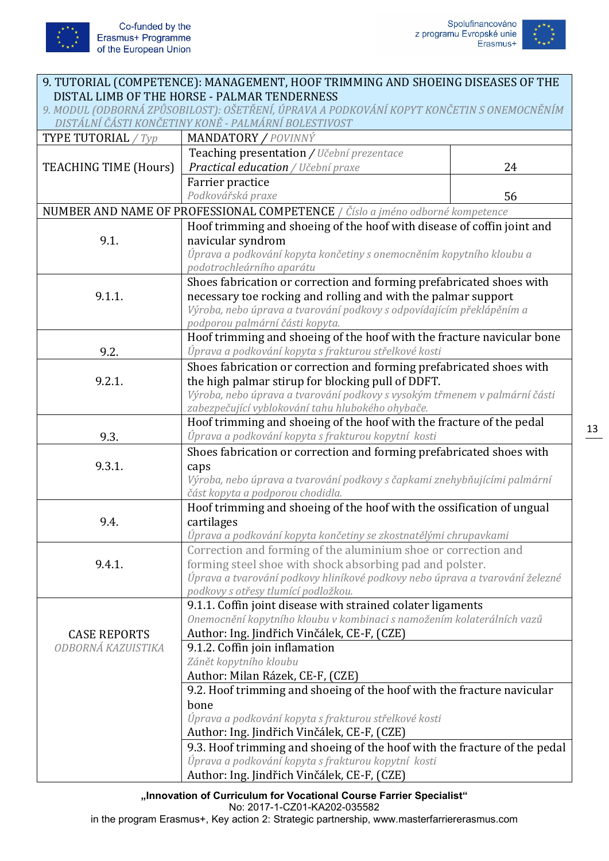



| 9. TUTORIAL (COMPETENCE): MANAGEMENT, HOOF TRIMMING AND SHOEING DISEASES OF THE           |                                                                               |    |
|-------------------------------------------------------------------------------------------|-------------------------------------------------------------------------------|----|
| DISTAL LIMB OF THE HORSE - PALMAR TENDERNESS                                              |                                                                               |    |
| 9. MODUL (ODBORNÁ ZPŮSOBILOST): OŠETŘENÍ, ÚPRAVA A PODKOVÁNÍ KOPYT KONČETIN S ONEMOCNĚNÍM |                                                                               |    |
|                                                                                           | DISTÁLNÍ ČÁSTI KONČETINY KONĚ - PALMÁRNÍ BOLESTIVOST                          |    |
| TYPE TUTORIAL / Typ                                                                       | <b>MANDATORY / POVINNÝ</b>                                                    |    |
|                                                                                           | Teaching presentation / Učební prezentace                                     |    |
| <b>TEACHING TIME (Hours)</b>                                                              | Practical education / Učební praxe                                            | 24 |
|                                                                                           | Farrier practice                                                              |    |
|                                                                                           | Podkovářská praxe                                                             | 56 |
|                                                                                           | NUMBER AND NAME OF PROFESSIONAL COMPETENCE / Číslo a jméno odborné kompetence |    |
|                                                                                           | Hoof trimming and shoeing of the hoof with disease of coffin joint and        |    |
| 9.1.                                                                                      | navicular syndrom                                                             |    |
|                                                                                           | Úprava a podkování kopyta končetiny s onemocněním kopytního kloubu a          |    |
|                                                                                           | podotrochleárního aparátu                                                     |    |
|                                                                                           | Shoes fabrication or correction and forming prefabricated shoes with          |    |
| 9.1.1.                                                                                    | necessary toe rocking and rolling and with the palmar support                 |    |
|                                                                                           | Výroba, nebo úprava a tvarování podkovy s odpovídajícím překlápěním a         |    |
|                                                                                           | podporou palmární části kopyta.                                               |    |
|                                                                                           | Hoof trimming and shoeing of the hoof with the fracture navicular bone        |    |
| 9.2.                                                                                      | Úprava a podkování kopyta s frakturou střelkové kosti                         |    |
|                                                                                           | Shoes fabrication or correction and forming prefabricated shoes with          |    |
| 9.2.1.                                                                                    | the high palmar stirup for blocking pull of DDFT.                             |    |
|                                                                                           | Výroba, nebo úprava a tvarování podkovy s vysokým třmenem v palmární části    |    |
|                                                                                           | zabezpečující vyblokování tahu hlubokého ohybače.                             |    |
|                                                                                           | Hoof trimming and shoeing of the hoof with the fracture of the pedal          |    |
| 9.3.                                                                                      | Úprava a podkování kopyta s frakturou kopytní kosti                           |    |
|                                                                                           | Shoes fabrication or correction and forming prefabricated shoes with          |    |
| 9.3.1.                                                                                    | caps                                                                          |    |
|                                                                                           | Výroba, nebo úprava a tvarování podkovy s čapkami znehybňujícími palmární     |    |
|                                                                                           | část kopyta a podporou chodidla.                                              |    |
|                                                                                           | Hoof trimming and shoeing of the hoof with the ossification of ungual         |    |
| 9.4.                                                                                      | cartilages                                                                    |    |
|                                                                                           | Úprava a podkování kopyta končetiny se zkostnatělými chrupavkami              |    |
|                                                                                           | Correction and forming of the aluminium shoe or correction and                |    |
| 9.4.1.                                                                                    | forming steel shoe with shock absorbing pad and polster.                      |    |
|                                                                                           | Úprava a tvarování podkovy hliníkové podkovy nebo úprava a tvarování železné  |    |
|                                                                                           | podkovy s otřesy tlumící podložkou.                                           |    |
|                                                                                           | 9.1.1. Coffin joint disease with strained colater ligaments                   |    |
|                                                                                           | Onemocnění kopytního kloubu v kombinaci s namožením kolaterálních vazů        |    |
| <b>CASE REPORTS</b>                                                                       | Author: Ing. Jindřich Vinčálek, CE-F, (CZE)                                   |    |
| ODBORNÁ KAZUISTIKA                                                                        | 9.1.2. Coffin join inflamation                                                |    |
|                                                                                           | Zánět kopytního kloubu                                                        |    |
|                                                                                           | Author: Milan Rázek, CE-F, (CZE)                                              |    |
|                                                                                           | 9.2. Hoof trimming and shoeing of the hoof with the fracture navicular        |    |
|                                                                                           | bone                                                                          |    |
|                                                                                           | Úprava a podkování kopyta s frakturou střelkové kosti                         |    |
|                                                                                           | Author: Ing. Jindřich Vinčálek, CE-F, (CZE)                                   |    |
|                                                                                           | 9.3. Hoof trimming and shoeing of the hoof with the fracture of the pedal     |    |
|                                                                                           | Úprava a podkování kopyta s frakturou kopytní kosti                           |    |
|                                                                                           | Author: Ing. Jindřich Vinčálek, CE-F, (CZE)                                   |    |

**"Innovation of Curriculum for Vocational Course Farrier Specialist"** No: 2017-1-CZ01-KA202-035582

in the program Erasmus+, Key action 2: Strategic partnership, www.masterfarriererasmus.com

13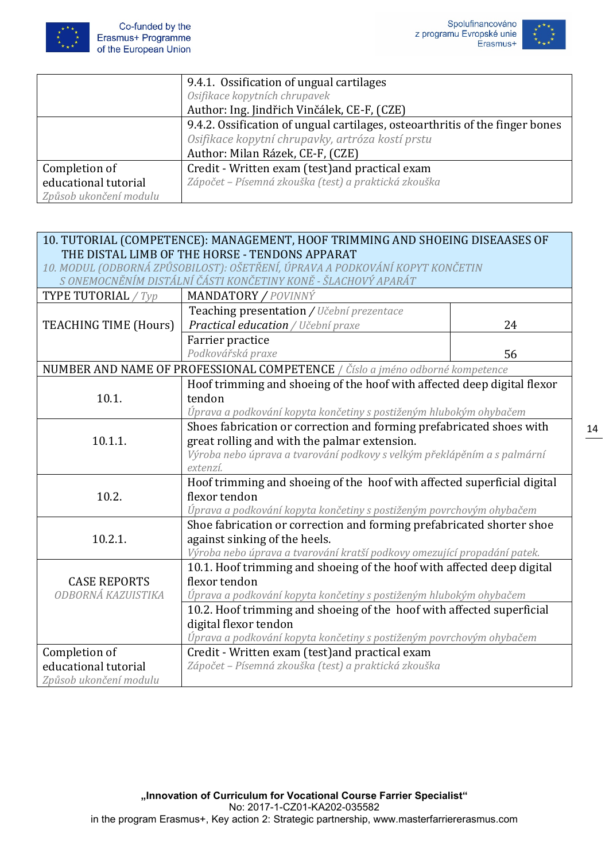



|                        | 9.4.1. Ossification of ungual cartilages                                     |
|------------------------|------------------------------------------------------------------------------|
|                        | Osifikace kopytních chrupavek                                                |
|                        | Author: Ing. Jindřich Vinčálek, CE-F, (CZE)                                  |
|                        | 9.4.2. Ossification of ungual cartilages, osteoarthritis of the finger bones |
|                        | Osifikace kopytní chrupavky, artróza kostí prstu                             |
|                        | Author: Milan Rázek, CE-F, (CZE)                                             |
| Completion of          | Credit - Written exam (test) and practical exam                              |
| educational tutorial   | Zápočet – Písemná zkouška (test) a praktická zkouška                         |
| Způsob ukončení modulu |                                                                              |

| 10. TUTORIAL (COMPETENCE): MANAGEMENT, HOOF TRIMMING AND SHOEING DISEAASES OF<br>THE DISTAL LIMB OF THE HORSE - TENDONS APPARAT |                                                                                                                                               |    |
|---------------------------------------------------------------------------------------------------------------------------------|-----------------------------------------------------------------------------------------------------------------------------------------------|----|
|                                                                                                                                 |                                                                                                                                               |    |
|                                                                                                                                 | 10. MODUL (ODBORNÁ ZPŮSOBILOST): OŠETŘENÍ, ÚPRAVA A PODKOVÁNÍ KOPYT KONČETIN<br>S ONEMOCNĚNÍM DISTÁLNÍ ČÁSTI KONČETINY KONĚ - ŠLACHOVÝ APARÁT |    |
| <b>TYPE TUTORIAL</b> / Typ                                                                                                      | MANDATORY / POVINNÝ                                                                                                                           |    |
|                                                                                                                                 |                                                                                                                                               |    |
|                                                                                                                                 | Teaching presentation / Učební prezentace                                                                                                     |    |
| <b>TEACHING TIME (Hours)</b>                                                                                                    | Practical education / Učební praxe                                                                                                            | 24 |
|                                                                                                                                 | Farrier practice                                                                                                                              |    |
|                                                                                                                                 | Podkovářská praxe                                                                                                                             | 56 |
|                                                                                                                                 | NUMBER AND NAME OF PROFESSIONAL COMPETENCE / Číslo a jméno odborné kompetence                                                                 |    |
|                                                                                                                                 | Hoof trimming and shoeing of the hoof with affected deep digital flexor                                                                       |    |
| 10.1.                                                                                                                           | tendon                                                                                                                                        |    |
|                                                                                                                                 | Úprava a podkování kopyta končetiny s postiženým hlubokým ohybačem                                                                            |    |
|                                                                                                                                 | Shoes fabrication or correction and forming prefabricated shoes with                                                                          |    |
| 10.1.1.                                                                                                                         | great rolling and with the palmar extension.                                                                                                  |    |
|                                                                                                                                 | Výroba nebo úprava a tvarování podkovy s velkým překlápěním a s palmární                                                                      |    |
|                                                                                                                                 | extenzí.                                                                                                                                      |    |
|                                                                                                                                 | Hoof trimming and shoeing of the hoof with affected superficial digital                                                                       |    |
| 10.2.                                                                                                                           | flexor tendon                                                                                                                                 |    |
|                                                                                                                                 | Úprava a podkování kopyta končetiny s postiženým povrchovým ohybačem                                                                          |    |
|                                                                                                                                 | Shoe fabrication or correction and forming prefabricated shorter shoe                                                                         |    |
| 10.2.1.                                                                                                                         | against sinking of the heels.                                                                                                                 |    |
|                                                                                                                                 | Výroba nebo úprava a tvarování kratší podkovy omezující propadání patek.                                                                      |    |
|                                                                                                                                 | 10.1. Hoof trimming and shoeing of the hoof with affected deep digital                                                                        |    |
| <b>CASE REPORTS</b>                                                                                                             | flexor tendon                                                                                                                                 |    |
| ODBORNÁ KAZUISTIKA                                                                                                              | Úprava a podkování kopyta končetiny s postiženým hlubokým ohybačem                                                                            |    |
|                                                                                                                                 | 10.2. Hoof trimming and shoeing of the hoof with affected superficial                                                                         |    |
|                                                                                                                                 | digital flexor tendon                                                                                                                         |    |
|                                                                                                                                 | Úprava a podkování kopyta končetiny s postiženým povrchovým ohybačem                                                                          |    |
| Completion of                                                                                                                   | Credit - Written exam (test) and practical exam                                                                                               |    |
| educational tutorial                                                                                                            | Zápočet – Písemná zkouška (test) a praktická zkouška                                                                                          |    |
| Způsob ukončení modulu                                                                                                          |                                                                                                                                               |    |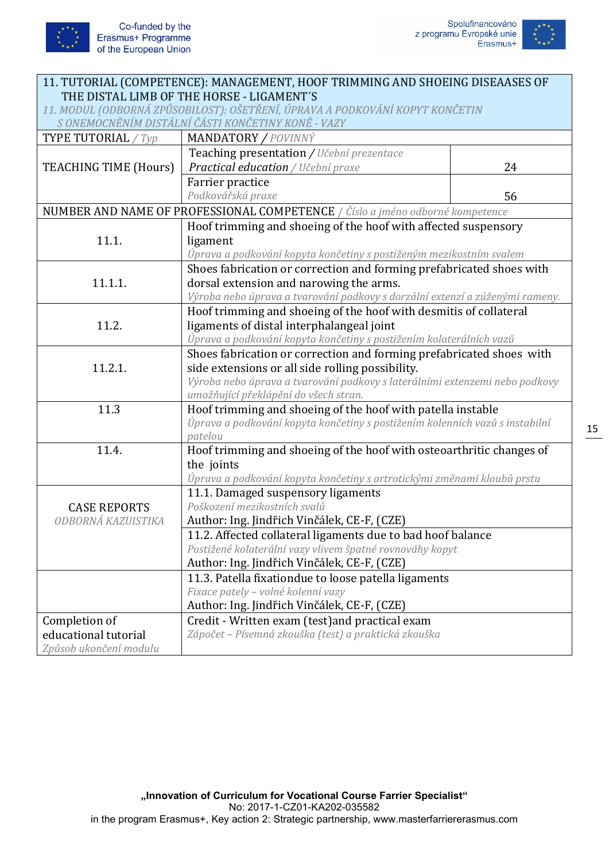

| 11. TUTORIAL (COMPETENCE): MANAGEMENT, HOOF TRIMMING AND SHOEING DISEAASES OF                                                      |                                                                               |    |
|------------------------------------------------------------------------------------------------------------------------------------|-------------------------------------------------------------------------------|----|
| THE DISTAL LIMB OF THE HORSE - LIGAMENT'S                                                                                          |                                                                               |    |
| 11. MODUL (ODBORNÁ ZPŮSOBILOST): OŠETŘENÍ, ÚPRAVA A PODKOVÁNÍ KOPYT KONČETIN<br>S ONEMOCNĚNÍM DISTÁLNÍ ČÁSTI KONČETINY KONĚ - VAZY |                                                                               |    |
|                                                                                                                                    |                                                                               |    |
| <b>TYPE TUTORIAL</b> / Typ                                                                                                         | <b>MANDATORY / POVINNÝ</b>                                                    |    |
|                                                                                                                                    | Teaching presentation / Učební prezentace                                     |    |
| <b>TEACHING TIME (Hours)</b>                                                                                                       | Practical education / Učební praxe                                            | 24 |
|                                                                                                                                    | Farrier practice                                                              |    |
|                                                                                                                                    | Podkovářská praxe                                                             | 56 |
|                                                                                                                                    | NUMBER AND NAME OF PROFESSIONAL COMPETENCE / Číslo a jméno odborné kompetence |    |
|                                                                                                                                    | Hoof trimming and shoeing of the hoof with affected suspensory                |    |
| 11.1.                                                                                                                              | ligament                                                                      |    |
|                                                                                                                                    | Úprava a podkování kopyta končetiny s postiženým mezikostním svalem           |    |
|                                                                                                                                    | Shoes fabrication or correction and forming prefabricated shoes with          |    |
| 11.1.1.                                                                                                                            | dorsal extension and narowing the arms.                                       |    |
|                                                                                                                                    | Výroba nebo úprava a tvarování podkovy s dorzální extenzí a zúženými rameny.  |    |
|                                                                                                                                    | Hoof trimming and shoeing of the hoof with desmitis of collateral             |    |
| 11.2.                                                                                                                              | ligaments of distal interphalangeal joint                                     |    |
|                                                                                                                                    | Úprava a podkování kopyta končetiny s postižením kolaterálních vazů           |    |
|                                                                                                                                    | Shoes fabrication or correction and forming prefabricated shoes with          |    |
| 11.2.1.                                                                                                                            | side extensions or all side rolling possibility.                              |    |
|                                                                                                                                    | Výroba nebo úprava a tvarování podkovy s laterálními extenzemi nebo podkovy   |    |
|                                                                                                                                    | umožňující překlápění do všech stran.                                         |    |
| 11.3                                                                                                                               | Hoof trimming and shoeing of the hoof with patella instable                   |    |
|                                                                                                                                    | Úprava a podkování kopyta končetiny s postižením kolenních vazů s instabilní  |    |
|                                                                                                                                    | patelou                                                                       |    |
| 11.4.                                                                                                                              | Hoof trimming and shoeing of the hoof with osteoarthritic changes of          |    |
|                                                                                                                                    | the joints                                                                    |    |
|                                                                                                                                    | Úprava a podkování kopyta končetiny s artrotickými změnami kloubů prstu       |    |
|                                                                                                                                    | 11.1. Damaged suspensory ligaments                                            |    |
| <b>CASE REPORTS</b>                                                                                                                | Poškození mezikostních svalů                                                  |    |
| ODBORNÁ KAZUISTIKA                                                                                                                 | Author: Ing. Jindřich Vinčálek, CE-F, (CZE)                                   |    |
|                                                                                                                                    | 11.2. Affected collateral ligaments due to bad hoof balance                   |    |
|                                                                                                                                    | Postižené kolaterální vazy vlivem špatné rovnováhy kopyt                      |    |
|                                                                                                                                    | Author: Ing. Jindřich Vinčálek, CE-F, (CZE)                                   |    |
|                                                                                                                                    | 11.3. Patella fixationdue to loose patella ligaments                          |    |
|                                                                                                                                    | Fixace pately - volné kolenní vazy                                            |    |
|                                                                                                                                    | Author: Ing. Jindřich Vinčálek, CE-F, (CZE)                                   |    |
| Completion of                                                                                                                      | Credit - Written exam (test) and practical exam                               |    |
| educational tutorial                                                                                                               | Zápočet - Písemná zkouška (test) a praktická zkouška                          |    |
| Způsob ukončení modulu                                                                                                             |                                                                               |    |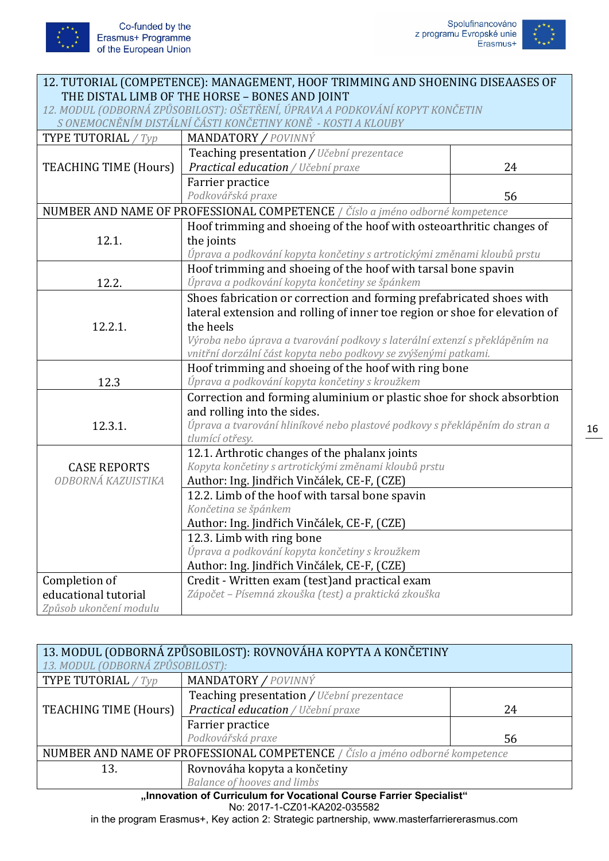

| 12. TUTORIAL (COMPETENCE): MANAGEMENT, HOOF TRIMMING AND SHOENING DISEAASES OF |                                                                               |    |
|--------------------------------------------------------------------------------|-------------------------------------------------------------------------------|----|
| THE DISTAL LIMB OF THE HORSE - BONES AND JOINT                                 |                                                                               |    |
|                                                                                | 12. MODUL (ODBORNÁ ZPŮSOBILOST): OŠETŘENÍ, ÚPRAVA A PODKOVÁNÍ KOPYT KONČETIN  |    |
|                                                                                | S ONEMOCNĚNÍM DISTÁLNÍ ČÁSTI KONČETINY KONĚ - KOSTI A KLOUBY                  |    |
| <b>TYPE TUTORIAL</b> / Typ                                                     | MANDATORY / POVINNÝ                                                           |    |
|                                                                                | Teaching presentation / Učební prezentace                                     |    |
| <b>TEACHING TIME (Hours)</b>                                                   | Practical education / Učební praxe                                            | 24 |
|                                                                                | Farrier practice                                                              |    |
|                                                                                | Podkovářská praxe                                                             | 56 |
|                                                                                | NUMBER AND NAME OF PROFESSIONAL COMPETENCE / Číslo a jméno odborné kompetence |    |
|                                                                                | Hoof trimming and shoeing of the hoof with osteoarthritic changes of          |    |
| 12.1.                                                                          | the joints                                                                    |    |
|                                                                                | Úprava a podkování kopyta končetiny s artrotickými změnami kloubů prstu       |    |
|                                                                                | Hoof trimming and shoeing of the hoof with tarsal bone spavin                 |    |
| 12.2.                                                                          | Úprava a podkování kopyta končetiny se špánkem                                |    |
|                                                                                | Shoes fabrication or correction and forming prefabricated shoes with          |    |
|                                                                                | lateral extension and rolling of inner toe region or shoe for elevation of    |    |
| 12.2.1.                                                                        | the heels                                                                     |    |
|                                                                                | Výroba nebo úprava a tvarování podkovy s laterální extenzí s překlápěním na   |    |
|                                                                                | vnitřní dorzální část kopyta nebo podkovy se zvýšenými patkami.               |    |
|                                                                                | Hoof trimming and shoeing of the hoof with ring bone                          |    |
| 12.3                                                                           | Úprava a podkování kopyta končetiny s kroužkem                                |    |
|                                                                                | Correction and forming aluminium or plastic shoe for shock absorbtion         |    |
|                                                                                | and rolling into the sides.                                                   |    |
| 12.3.1.                                                                        | Úprava a tvarování hliníkové nebo plastové podkovy s překlápěním do stran a   |    |
|                                                                                | tlumící otřesy.                                                               |    |
|                                                                                | 12.1. Arthrotic changes of the phalanx joints                                 |    |
| <b>CASE REPORTS</b>                                                            | Kopyta končetiny s artrotickými změnami kloubů prstu                          |    |
| ODBORNÁ KAZUISTIKA                                                             | Author: Ing. Jindřich Vinčálek, CE-F, (CZE)                                   |    |
|                                                                                | 12.2. Limb of the hoof with tarsal bone spavin                                |    |
|                                                                                | Končetina se špánkem                                                          |    |
|                                                                                | Author: Ing. Jindřich Vinčálek, CE-F, (CZE)                                   |    |
|                                                                                | 12.3. Limb with ring bone                                                     |    |
|                                                                                | Úprava a podkování kopyta končetiny s kroužkem                                |    |
|                                                                                | Author: Ing. Jindřich Vinčálek, CE-F, (CZE)                                   |    |
| Completion of                                                                  | Credit - Written exam (test) and practical exam                               |    |
| educational tutorial                                                           | Zápočet – Písemná zkouška (test) a praktická zkouška                          |    |
| Způsob ukončení modulu                                                         |                                                                               |    |

| 13. MODUL (ODBORNÁ ZPŮSOBILOST): ROVNOVÁHA KOPYTA A KONČETINY<br>13. MODUL (ODBORNÁ ZPŮSOBILOST): |                                           |    |
|---------------------------------------------------------------------------------------------------|-------------------------------------------|----|
| TYPE TUTORIAL / Typ                                                                               | MANDATORY / POVINNÝ                       |    |
|                                                                                                   | Teaching presentation / Učební prezentace |    |
| TEACHING TIME (Hours)                                                                             | Practical education / Učební praxe        | 24 |
|                                                                                                   | Farrier practice                          |    |
|                                                                                                   | Podkovářská praxe                         | 56 |
| NUMBER AND NAME OF PROFESSIONAL COMPETENCE / Číslo a jméno odborné kompetence                     |                                           |    |
| 13.                                                                                               | Rovnováha kopyta a končetiny              |    |
|                                                                                                   | Balance of hooves and limbs               |    |
| "Innovation of Curriculum for Vocational Course Farrier Specialist"                               |                                           |    |

No: 2017-1-CZ01-KA202-035582